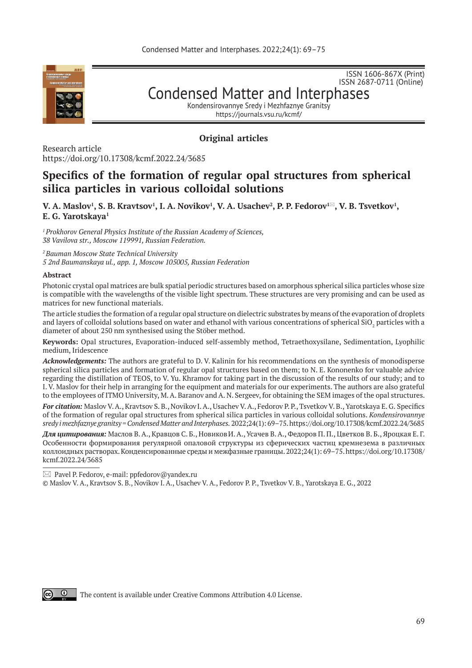

ISSN 1606-867Х (Print) ISSN 2687-0711 (Online)

Condensed Matter and Interphases

Kondensirovannye Sredy i Mezhfaznye Granitsy https://journals.vsu.ru/kcmf/

# **Original articles**

Research article https://doi.org/10.17308/kcmf.2022.24/3685

# **Specifics of the formation of regular opal structures from spherical silica particles in various colloidal solutions**

**V.** A. Maslov<sup>1</sup>, S. B. Kravtsov<sup>1</sup>, I. A. Novikov<sup>1</sup>, V. A. Usachev<sup>2</sup>, P. P. Fedorov™, V. B. Tsvetkov<sup>1</sup>, **E. G. Yarotskaya<sup>1</sup> \***

*1 Prokhorov General Physics Institute of the Russian Academy of Sciences, 38 Vavilova str., Moscow 119991, Russian Federation.*

*2 Bauman Moscow State Technical University* 

*5 2nd Baumanskaya ul., app. 1, Moscow 105005, Russian Federation*

#### **Abstract**

Photonic crystal opal matrices are bulk spatial periodic structures based on amorphous spherical silica particles whose size is compatible with the wavelengths of the visible light spectrum. These structures are very promising and can be used as matrices for new functional materials.

The article studies the formation of a regular opal structure on dielectric substrates by means of the evaporation of droplets and layers of colloidal solutions based on water and ethanol with various concentrations of spherical SiO $_2$  particles with a diameter of about 250 nm synthesised using the Stöber method.

**Keywords:** Opal structures, Evaporation-induced self-assembly method, Tetraethoxysilane, Sedimentation, Lyophilic medium, Iridescence

*Acknowledgements:* The authors are grateful to D. V. Kalinin for his recommendations on the synthesis of monodisperse spherical silica particles and formation of regular opal structures based on them; to N. E. Kononenko for valuable advice regarding the distillation of TEOS, to V. Yu. Khramov for taking part in the discussion of the results of our study; and to I. V. Maslov for their help in arranging for the equipment and materials for our experiments. The authors are also grateful to the employees of ITMO University, M. A. Baranov and A. N. Sergeev, for obtaining the SEM images of the opal structures.

*For citation:* Maslov V. A., Kravtsov S. B., NovikovI. A., Usachev V. A., Fedorov P. P., Tsvetkov V. B., Yarotskaya E. G. Specifics of the formation of regular opal structures from spherical silica particles in various colloidal solutions. *Kondensirovannye sredy i mezhfaznye granitsy = Condensed Matter and Interphases.* 2022;24(1): 69–75. https://doi.org/10.17308/kcmf.2022.24/3685

*Для цитирования:* Маслов В. А., Кравцов С. Б., НовиковИ. А., Усачев В. А., Федоров П. П., Цветков В. Б., Яроцкая Е. Г. Особенности формирования регулярной опаловой структуры из сферических частиц кремнезема в различных коллоидных растворах. Конденсированные среды и межфазные границы. 2022;24(1): 69–75. https://doi.org/10.17308/ kcmf.2022.24/3685

 $\boxtimes$  Pavel P. Fedorov, e-mail: ppfedorov@yandex.ru

© Maslov V. A., Kravtsov S. B., Novikov I. A., Usachev V. A., Fedorov P. P., Tsvetkov V. B., Yarotskaya E. G., 2022



The content is available under Creative Commons Attribution 4.0 License.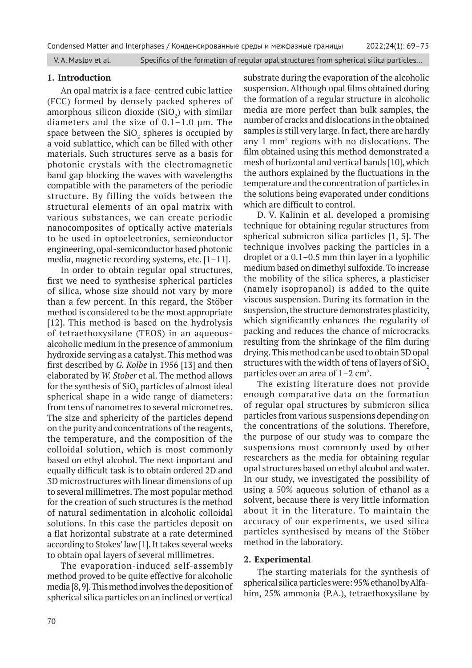#### **1. Introduction**

An opal matrix is a face-centred cubic lattice (FCC) formed by densely packed spheres of amorphous silicon dioxide  $(SiO<sub>2</sub>)$  with similar diameters and the size of 0.1–1.0 μm. The space between the  $\mathrm{SiO}_2$  spheres is occupied by a void sublattice, which can be filled with other materials. Such structures serve as a basis for photonic crystals with the electromagnetic band gap blocking the waves with wavelengths compatible with the parameters of the periodic structure. By filling the voids between the structural elements of an opal matrix with various substances, we can create periodic nanocomposites of optically active materials to be used in optoelectronics, semiconductor engineering, opal-semiconductor based photonic media, magnetic recording systems, etc. [1–11].

In order to obtain regular opal structures, first we need to synthesise spherical particles of silica, whose size should not vary by more than a few percent. In this regard, the Stöber method is considered to be the most appropriate [12]. This method is based on the hydrolysis of tetraethoxysilane (TEOS) in an aqueousalcoholic medium in the presence of ammonium hydroxide serving as a catalyst. This method was first described by *G. Kolbe* in 1956 [13] and then elaborated by *W. Stober* et al. The method allows for the synthesis of  $\mathrm{SiO}_2$  particles of almost ideal spherical shape in a wide range of diameters: from tens of nanometres to several micrometres. The size and sphericity of the particles depend on the purity and concentrations of the reagents, the temperature, and the composition of the colloidal solution, which is most commonly based on ethyl alcohol. The next important and equally difficult task is to obtain ordered 2D and 3D microstructures with linear dimensions of up to several millimetres. The most popular method for the creation of such structures is the method of natural sedimentation in alcoholic colloidal solutions. In this case the particles deposit on a flat horizontal substrate at a rate determined according to Stokes' law [1]. It takes several weeks to obtain opal layers of several millimetres.

The evaporation-induced self-assembly method proved to be quite effective for alcoholic media [8, 9]. This method involves the deposition of spherical silica particles on an inclined or vertical

substrate during the evaporation of the alcoholic suspension. Although opal films obtained during the formation of a regular structure in alcoholic media are more perfect than bulk samples, the number of cracks and dislocations in the obtained samples is still very large. In fact, there are hardly any 1 mm2 regions with no dislocations. The film obtained using this method demonstrated a mesh of horizontal and vertical bands [10], which the authors explained by the fluctuations in the temperature and the concentration of particles in the solutions being evaporated under conditions which are difficult to control.

D. V. Kalinin et al. developed a promising technique for obtaining regular structures from spherical submicron silica particles [1, 5]. The technique involves packing the particles in a droplet or a 0.1–0.5 mm thin layer in a lyophilic medium based on dimethyl sulfoxide. To increase the mobility of the silica spheres, a plasticiser (namely isopropanol) is added to the quite viscous suspension. During its formation in the suspension, the structure demonstrates plasticity, which significantly enhances the regularity of packing and reduces the chance of microcracks resulting from the shrinkage of the film during drying. This method can be used to obtain 3D opal structures with the width of tens of layers of  $SiO<sub>2</sub>$ particles over an area of  $1-2$  cm<sup>2</sup>.

The existing literature does not provide enough comparative data on the formation of regular opal structures by submicron silica particles from various suspensions depending on the concentrations of the solutions. Therefore, the purpose of our study was to compare the suspensions most commonly used by other researchers as the media for obtaining regular opal structures based on ethyl alcohol and water. In our study, we investigated the possibility of using a 50% aqueous solution of ethanol as a solvent, because there is very little information about it in the literature. To maintain the accuracy of our experiments, we used silica particles synthesised by means of the Stöber method in the laboratory.

## **2. Experimental**

The starting materials for the synthesis of spherical silica particles were: 95% ethanol by Alfahim, 25% ammonia (P.A.), tetraethoxysilane by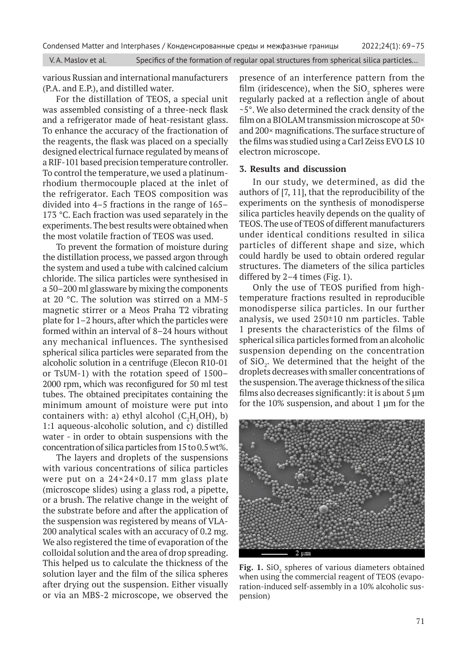various Russian and international manufacturers (P.A. and E.P.), and distilled water.

For the distillation of TEOS, a special unit was assembled consisting of a three-neck flask and a refrigerator made of heat-resistant glass. To enhance the accuracy of the fractionation of the reagents, the flask was placed on a specially designed electrical furnace regulated by means of a RIF-101 based precision temperature controller. To control the temperature, we used a platinumrhodium thermocouple placed at the inlet of the refrigerator. Each TEOS composition was divided into 4–5 fractions in the range of 165– 173 °С. Each fraction was used separately in the experiments. The best results were obtained when the most volatile fraction of TEOS was used.

To prevent the formation of moisture during the distillation process, we passed argon through the system and used a tube with calcined calcium chloride. The silica particles were synthesised in a 50–200 ml glassware by mixing the components at 20 °С. The solution was stirred on a MM-5 magnetic stirrer or a Meos Praha T2 vibrating plate for 1–2 hours, after which the particles were formed within an interval of 8–24 hours without any mechanical influences. The synthesised spherical silica particles were separated from the alcoholic solution in a centrifuge (Elecon R10‑01 or TsUM-1) with the rotation speed of 1500– 2000 rpm, which was reconfigured for 50 ml test tubes. The obtained precipitates containing the minimum amount of moisture were put into containers with: a) ethyl alcohol  $(C_2H_5OH)$ , b) 1:1 aqueous-alcoholic solution, and c) distilled water - in order to obtain suspensions with the concentration of silica particles from 15 to 0.5 wt%.

The layers and droplets of the suspensions with various concentrations of silica particles were put on a 24×24×0.17 mm glass plate (microscope slides) using a glass rod, a pipette, or a brush. The relative change in the weight of the substrate before and after the application of the suspension was registered by means of VLA-200 analytical scales with an accuracy of 0.2 mg. We also registered the time of evaporation of the colloidal solution and the area of drop spreading. This helped us to calculate the thickness of the solution layer and the film of the silica spheres after drying out the suspension. Either visually or via an MBS-2 microscope, we observed the

presence of an interference pattern from the film (iridescence), when the  $\text{SiO}_2$  spheres were regularly packed at a reflection angle of about ~5°. We also determined the crack density of the film on a BIOLAM transmission microscope at 50× and 200× magnifications. The surface structure of the films was studied using a Carl Zeiss EVO LS 10 electron microscope.

### **3. Results and discussion**

In our study, we determined, as did the authors of [7, 11], that the reproducibility of the experiments on the synthesis of monodisperse silica particles heavily depends on the quality of TEOS. The use of TEOS of different manufacturers under identical conditions resulted in silica particles of different shape and size, which could hardly be used to obtain ordered regular structures. The diameters of the silica particles differed by 2–4 times (Fig. 1).

Only the use of TEOS purified from hightemperature fractions resulted in reproducible monodisperse silica particles. In our further analysis, we used 250±10 nm particles. Table 1 presents the characteristics of the films of spherical silica particles formed from an alcoholic suspension depending on the concentration of  $SiO_2$ . We determined that the height of the droplets decreases with smaller concentrations of the suspension. The average thickness of the silica films also decreases significantly: it is about 5 μm for the 10% suspension, and about 1 μm for the



**Fig. 1.** SiO<sub>2</sub> spheres of various diameters obtained when using the commercial reagent of TEOS (evaporation-induced self-assembly in a 10% alcoholic suspension)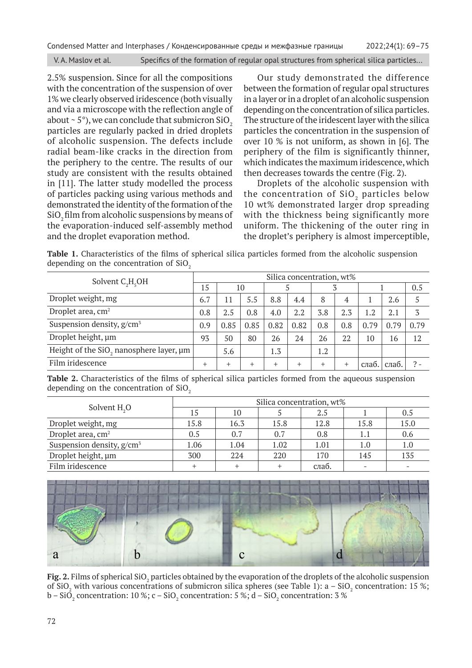Condensed Matter and Interphases / Конденсированные среды и межфазные границы 2022;24(1): 69–75

V. A. Maslov et al. Specifics of the formation of regular opal structures from spherical silica particles...

2.5% suspension. Since for all the compositions with the concentration of the suspension of over 1% we clearly observed iridescence (both visually and via a microscope with the reflection angle of about  $\sim$  5 $\degree$ ), we can conclude that submicron SiO<sub>2</sub> particles are regularly packed in dried droplets of alcoholic suspension. The defects include radial beam-like cracks in the direction from the periphery to the centre. The results of our study are consistent with the results obtained in [11]. The latter study modelled the process of particles packing using various methods and demonstrated the identity of the formation of the SiO<sub>2</sub> film from alcoholic suspensions by means of the evaporation-induced self-assembly method and the droplet evaporation method.

Our study demonstrated the difference between the formation of regular opal structures in a layer or in a droplet of an alcoholic suspension depending on the concentration of silica particles. The structure of the iridescent layer with the silica particles the concentration in the suspension of over 10 % is not uniform, as shown in [6]. The periphery of the film is significantly thinner, which indicates the maximum iridescence, which then decreases towards the centre (Fig. 2).

Droplets of the alcoholic suspension with the concentration of  $SiO<sub>2</sub>$  particles below 10 wt% demonstrated larger drop spreading with the thickness being significantly more uniform. The thickening of the outer ring in the droplet's periphery is almost imperceptible,

**Table 1.** Characteristics of the films of spherical silica particles formed from the alcoholic suspension depending on the concentration of  $SiO<sub>2</sub>$ 

| Solvent $C_2H_5OH$                                  | Silica concentration, wt% |           |        |        |        |        |                |       |       |      |
|-----------------------------------------------------|---------------------------|-----------|--------|--------|--------|--------|----------------|-------|-------|------|
|                                                     | 15                        | 10        |        |        |        |        |                |       |       | 0.5  |
| Droplet weight, mg                                  | 6.7                       | 11        | 5.5    | 8.8    | 4.4    | 8      | $\overline{4}$ |       | 2.6   |      |
| Droplet area, cm <sup>2</sup>                       | 0.8                       | 2.5       | 0.8    | 4.0    | 2.2    | 3.8    | 2.3            | 1.2   | 2.1   | 3    |
| Suspension density, $g/cm^3$                        | 0.9                       | 0.85      | 0.85   | 0.82   | 0.82   | 0.8    | 0.8            | 0.79  | 0.79  | 0.79 |
| Droplet height, um                                  | 93                        | 50        | 80     | 26     | 24     | 26     | 22             | 10    | 16    | 12   |
| Height of the SiO <sub>2</sub> nanosphere layer, um |                           | 5.6       |        | 1.3    |        | 1.2    |                |       |       |      |
| Film iridescence                                    | $^+$                      | $\ddot{}$ | $^{+}$ | $^{+}$ | $^{+}$ | $^{+}$ | $^{+}$         | слаб. | слаб. |      |

**Table 2.** Characteristics of the films of spherical silica particles formed from the aqueous suspension depending on the concentration of  $SiO<sub>2</sub>$ 

| Solvent $H2O$                 | Silica concentration, wt% |      |      |       |      |      |  |  |  |
|-------------------------------|---------------------------|------|------|-------|------|------|--|--|--|
|                               | 15                        | 10   |      | 2.5   |      | 0.5  |  |  |  |
| Droplet weight, mg            | 15.8                      | 16.3 | 15.8 | 12.8  | 15.8 | 15.0 |  |  |  |
| Droplet area, cm <sup>2</sup> | 0.5                       | 0.7  | 0.7  | 0.8   | 1.1  | 0.6  |  |  |  |
| Suspension density, $g/cm^3$  | 1.06                      | 1.04 | 1.02 | 1.01  | 1.0  | 1.0  |  |  |  |
| Droplet height, um            | 300                       | 224  | 220  | 170   | 145  | 135  |  |  |  |
| Film iridescence              |                           |      |      | слаб. |      |      |  |  |  |



**Fig. 2.** Films of spherical SiO $_2$  particles obtained by the evaporation of the droplets of the alcoholic suspension of SiO<sub>2</sub> with various concentrations of submicron silica spheres (see Table 1): a – SiO<sub>2</sub> concentration: 15 %; b – SiO $_{_2}$  concentration: 10 %; c – SiO $_{_2}$  concentration: 5 %; d – SiO $_{_2}$  concentration: 3 %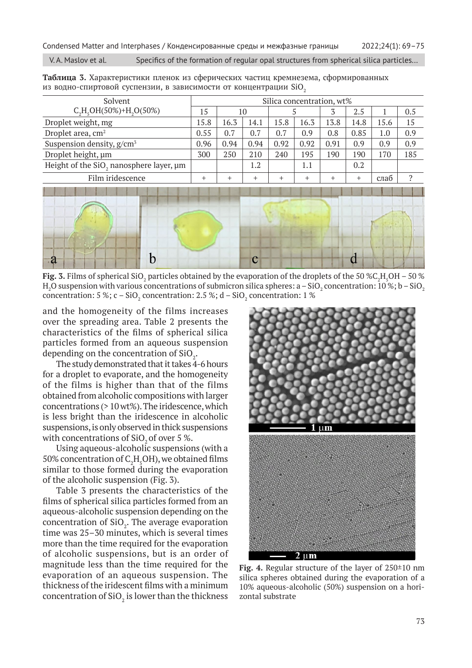| Solvent                                             | Silica concentration, wt% |        |        |        |      |      |      |      |     |
|-----------------------------------------------------|---------------------------|--------|--------|--------|------|------|------|------|-----|
| $C_2H_5OH(50\%)+H_2O(50\%)$                         | 15                        | 10     |        |        |      |      | 2.5  |      | 0.5 |
| Droplet weight, mg                                  | 15.8                      | 16.3   | 14.1   | 15.8   | 16.3 | 13.8 | 14.8 | 15.6 | 15  |
| Droplet area, cm <sup>2</sup>                       | 0.55                      | 0.7    | 0.7    | 0.7    | 0.9  | 0.8  | 0.85 | 1.0  | 0.9 |
| Suspension density, $g/cm^3$                        | 0.96                      | 0.94   | 0.94   | 0.92   | 0.92 | 0.91 | 0.9  | 0.9  | 0.9 |
| Droplet height, um                                  | 300                       | 250    | 210    | 240    | 195  | 190  | 190  | 170  | 185 |
| Height of the SiO <sub>2</sub> nanosphere layer, µm |                           |        | 1.2    |        | 1.1  |      | 0.2  |      |     |
| Film iridescence                                    | $^{+}$                    | $^{+}$ | $^{+}$ | $^{+}$ | $^+$ |      | $^+$ | слаб | n   |
|                                                     |                           |        |        |        |      |      |      |      |     |

**Таблица 3.** Характеристики пленок из сферических частиц кремнезема, сформированных из водно-спиртовой суспензии, в зависимости от концентрации SiO<sub>2</sub>



**Fig. 3.** Films of spherical SiO<sub>2</sub> particles obtained by the evaporation of the droplets of the 50 %C<sub>2</sub>H<sub>5</sub>OH – 50 % H $_2$ O suspension with various concentrations of submicron silica spheres: a – SiO $_2$  concentration: 10 %; b – SiO $_2$ concentration: 5 %; c – SiO<sub>2</sub> concentration: 2.5 %; d – SiO<sub>2</sub> concentration: 1 %

and the homogeneity of the films increases over the spreading area. Table 2 presents the characteristics of the films of spherical silica particles formed from an aqueous suspension depending on the concentration of  $\rm SiO_{2}$ .

The study demonstrated that it takes 4-6 hours for a droplet to evaporate, and the homogeneity of the films is higher than that of the films obtained from alcoholic compositions with larger concentrations (> 10 wt%). The iridescence, which is less bright than the iridescence in alcoholic suspensions, is only observed in thick suspensions with concentrations of SiO<sub>2</sub> of over 5 %.

Using aqueous-alcoholic suspensions (with a 50% concentration of  $C_2H_5OH$ ), we obtained films similar to those formed during the evaporation of the alcoholic suspension (Fig. 3).

Table 3 presents the characteristics of the films of spherical silica particles formed from an aqueous-alcoholic suspension depending on the concentration of  $\text{SiO}_2$ . The average evaporation time was 25–30 minutes, which is several times more than the time required for the evaporation of alcoholic suspensions, but is an order of magnitude less than the time required for the evaporation of an aqueous suspension. The thickness of the iridescent films with a minimum concentration of SiO $_2$  is lower than the thickness



**Fig. 4.** Regular structure of the layer of 250±10 nm silica spheres obtained during the evaporation of a 10% aqueous-alcoholic (50%) suspension on a horizontal substrate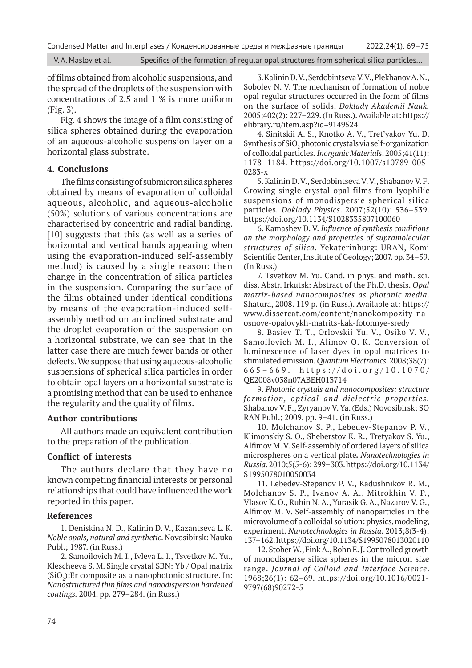of films obtained from alcoholic suspensions, and the spread of the droplets of the suspension with concentrations of 2.5 and 1 % is more uniform (Fig. 3).

Fig. 4 shows the image of a film consisting of silica spheres obtained during the evaporation of an aqueous-alcoholic suspension layer on a horizontal glass substrate.

#### **4. Conclusions**

The films consisting of submicron silica spheres obtained by means of evaporation of colloidal aqueous, alcoholic, and aqueous-alcoholic (50%) solutions of various concentrations are characterised by concentric and radial banding. [10] suggests that this (as well as a series of horizontal and vertical bands appearing when using the evaporation-induced self-assembly method) is caused by a single reason: then change in the concentration of silica particles in the suspension. Comparing the surface of the films obtained under identical conditions by means of the evaporation-induced selfassembly method on an inclined substrate and the droplet evaporation of the suspension on a horizontal substrate, we can see that in the latter case there are much fewer bands or other defects. We suppose that using aqueous-alcoholic suspensions of spherical silica particles in order to obtain opal layers on a horizontal substrate is a promising method that can be used to enhance the regularity and the quality of films.

### **Author contributions**

All authors made an equivalent contribution to the preparation of the publication.

## **Conflict of interests**

The authors declare that they have no known competing financial interests or personal relationships that could have influenced the work reported in this paper.

### **References**

1. Deniskina N. D., Kalinin D. V., Kazantseva L. K. *Noble opals, natural and synthetic*. Novosibirsk: Nauka Publ.; 1987. (in Russ.)

2. Samoilovich M. I., Ivleva L. I., Tsvetkov M. Yu., Klescheeva S. M. Single crystal SBN: Yb / Opal matrix  $(SiO<sub>2</sub>)$ : Er composite as a nanophotonic structure. In: *Nanostructured thin films and nanodispersion hardened coatings.* 2004. pp. 279–284. (in Russ.)

3. Kalinin D. V., Serdobintseva V. V., Plekhanov A. N., Sobolev N. V. The mechanism of formation of noble opal regular structures occurred in the form of films on the surface of solids. *Doklady Akademii Nauk.* 2005;402(2): 227–229. (In Russ.). Available at: https:// elibrary.ru/item.asp?id=9149524

4. Sinitskii A. S., Knotko A. V., Tret'yakov Yu. D. Synthesis of  $\mathrm{SiO}_2$  photonic crystals via self-organization of colloidal particles*.Inorganic Material*s. 2005;41(11): 1178–1184. https://doi.org/10.1007/s10789-005- 0283-x

5. Kalinin D. V., Serdobintseva V. V., Shabanov V. F. Growing single crystal opal films from lyophilic suspensions of monodispersie spherical silica particles*. Doklady Physics*. 2007;52(10): 536–539. https://doi.org/10.1134/S1028335807100060

6. Kamashev D. V. *Influence of synthesis conditions on the morphology and properties of supramolecular structures of silica*. Yekaterinburg: URAN, Komi Scientific Center, Institute of Geology; 2007. pp. 34–59. (In Russ.)

7. Tsvetkov M. Yu. Cand. in phys. and math. sci. diss. Abstr. Irkutsk: Abstract of the Ph.D. thesis. *Opal matrix-based nanocomposites as photonic media*. Shatura, 2008. 119 p. (in Russ.). Available at: https:// www.dissercat.com/content/nanokompozity-naosnove-opalovykh-matrits-kak-fotonnye-sredy

8. Basiev T. T., Orlovskii Yu. V., Osiko V. V., Samoilovich M. I., Alimov O. K. Conversion of luminescence of laser dyes in opal matrices to stimulated emission*. Quantum Electronics*. 2008;38(7): 665–669. https://doi.org/10.1070/ QE2008v038n07ABEH013714

9. *Photonic crystals and nanocomposites: structure formation, optical and dielectric properties.* Shabanov V. F., Zyryanov V. Ya. (Eds.) Novosibirsk: SO RAN Publ.; 2009. pp. 9–41. (in Russ.)

10. Molchanov S. P., Lebedev-Stepanov P. V., Klimonskiy S. O., Sheberstov K. R., Tretyakov S. Yu., Alfimov M. V. Self-assembly of ordered layers of silica microspheres on a vertical plate*. Nanotechnologies in Russia*. 2010;5(5-6): 299–303. https://doi.org/10.1134/ S1995078010050034

11. Lebedev-Stepanov P. V., Kadushnikov R. M., Molchanov S. P., Ivanov A. A., Mitrokhin V. P., Vlasov K. O., Rubin N. A., Yurasik G. A., Nazarov V. G., Alfimov M. V. Self-assembly of nanoparticles in the microvolume of a colloidal solution: physics, modeling, experiment. *Nanotechnologies in Russia*. 2013;8(3-4): 137–162. https://doi.org/10.1134/S1995078013020110

12. Stober W., Fink A., Bohn E. J. Controlled growth of monodisperse silica spheres in the micron size range. *Journal of Colloid and Interface Science*. 1968;26(1): 62–69. https://doi.org/10.1016/0021- 9797(68)90272-5